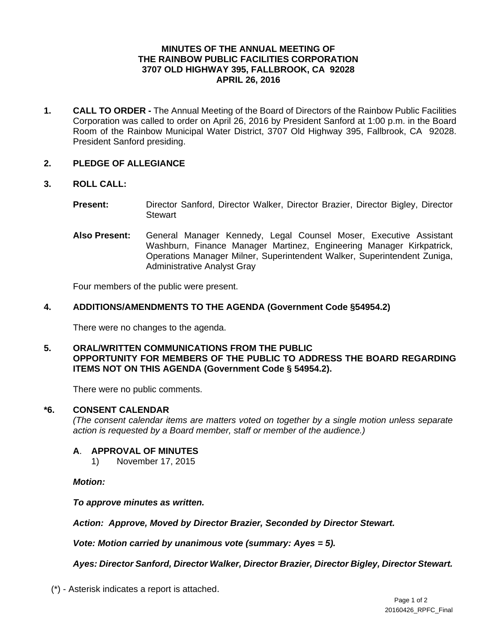# **MINUTES OF THE ANNUAL MEETING OF THE RAINBOW PUBLIC FACILITIES CORPORATION 3707 OLD HIGHWAY 395, FALLBROOK, CA 92028 APRIL 26, 2016**

**1. CALL TO ORDER -** The Annual Meeting of the Board of Directors of the Rainbow Public Facilities Corporation was called to order on April 26, 2016 by President Sanford at 1:00 p.m. in the Board Room of the Rainbow Municipal Water District, 3707 Old Highway 395, Fallbrook, CA 92028. President Sanford presiding.

# **2. PLEDGE OF ALLEGIANCE**

### **3. ROLL CALL:**

- **Present:** Director Sanford, Director Walker, Director Brazier, Director Bigley, Director **Stewart**
- **Also Present:** General Manager Kennedy, Legal Counsel Moser, Executive Assistant Washburn, Finance Manager Martinez, Engineering Manager Kirkpatrick, Operations Manager Milner, Superintendent Walker, Superintendent Zuniga, Administrative Analyst Gray

Four members of the public were present.

# **4. ADDITIONS/AMENDMENTS TO THE AGENDA (Government Code §54954.2)**

There were no changes to the agenda.

**5. ORAL/WRITTEN COMMUNICATIONS FROM THE PUBLIC OPPORTUNITY FOR MEMBERS OF THE PUBLIC TO ADDRESS THE BOARD REGARDING ITEMS NOT ON THIS AGENDA (Government Code § 54954.2).** 

There were no public comments.

### **\*6. CONSENT CALENDAR**

*(The consent calendar items are matters voted on together by a single motion unless separate action is requested by a Board member, staff or member of the audience.)* 

# **A**. **APPROVAL OF MINUTES**

1) November 17, 2015

*Motion:* 

*To approve minutes as written.* 

*Action: Approve, Moved by Director Brazier, Seconded by Director Stewart.* 

 *Vote: Motion carried by unanimous vote (summary: Ayes = 5).* 

*Ayes: Director Sanford, Director Walker, Director Brazier, Director Bigley, Director Stewart.* 

(\*) - Asterisk indicates a report is attached.